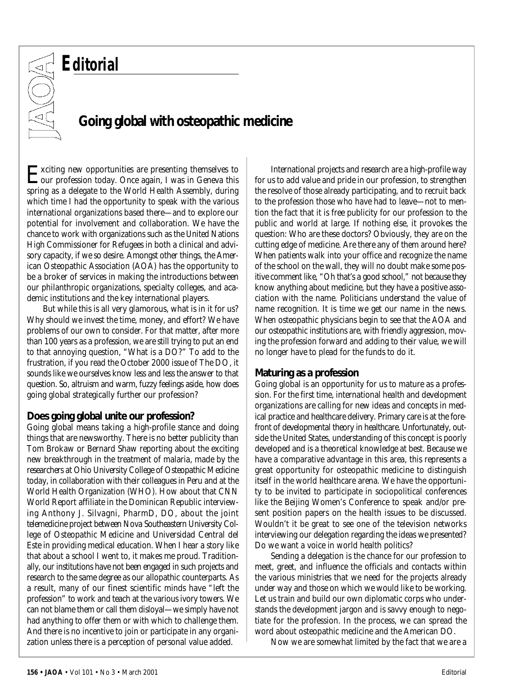# *Editorial* OXC

### **Going global with osteopathic medicine**

Exciting new opportunities are presenting themselves to our profession today. Once again, I was in Geneva this spring as a delegate to the World Health Assembly, during which time I had the opportunity to speak with the various international organizations based there—and to explore our potential for involvement and collaboration. We have the chance to work with organizations such as the United Nations High Commissioner for Refugees in both a clinical and advisory capacity, if we so desire. Amongst other things, the American Osteopathic Association (AOA) has the opportunity to be a broker of services in making the introductions between our philanthropic organizations, specialty colleges, and academic institutions and the key international players.

But while this is all very glamorous, what is in it for us? Why should we invest the time, money, and effort? We have problems of our own to consider. For that matter, after more than 100 years as a profession, we are still trying to put an end to that annoying question, "What is a DO?" To add to the frustration, if you read the October 2000 issue of *The DO*, it sounds like we ourselves know less and less the answer to that question. So, altruism and warm, fuzzy feelings aside, how does going global strategically further our profession?

#### **Does going global unite our profession?**

Going global means taking a high-profile stance and doing things that are newsworthy. There is no better publicity than Tom Brokaw or Bernard Shaw reporting about the exciting new breakthrough in the treatment of malaria, made by the researchers at Ohio University College of Osteopathic Medicine today, in collaboration with their colleagues in Peru and at the World Health Organization (WHO). How about that CNN World Report affiliate in the Dominican Republic interviewing Anthony J. Silvagni, PharmD, DO, about the joint telemedicine project between Nova Southeastern University College of Osteopathic Medicine and Universidad Central del Este in providing medical education. When I hear a story like that about a school I went to, it makes me proud. Traditionally, our institutions have not been engaged in such projects and research to the same degree as our allopathic counterparts. As a result, many of our finest scientific minds have "left the profession" to work and teach at the various ivory towers. We can not blame them or call them disloyal—we simply have not had anything to offer them or with which to challenge them. And there is no incentive to join or participate in any organization unless there is a perception of personal value added.

International projects and research are a high-profile way for us to add value and pride in our profession, to strengthen the resolve of those already participating, and to recruit back to the profession those who have had to leave—not to mention the fact that it is free publicity for our profession to the public and world at large. If nothing else, it provokes the question: Who are these doctors? Obviously, they are on the cutting edge of medicine. Are there any of them around here? When patients walk into your office and recognize the name of the school on the wall, they will no doubt make some positive comment like, "Oh that's a good school," not because they know anything about medicine, but they have a positive association with the name. Politicians understand the value of name recognition. It is time we get our name in the news. When osteopathic physicians begin to see that the AOA and our osteopathic institutions are, with friendly aggression, moving the profession forward and adding to *their* value, we will no longer have to plead for the funds to do it.

### **Maturing as a profession**

Going global is an opportunity for us to mature as a profession. For the first time, international health and development organizations are calling for new ideas and concepts in medical practice and healthcare delivery. Primary care is at the forefront of developmental theory in healthcare. Unfortunately, outside the United States, understanding of this concept is poorly developed and is a theoretical knowledge at best. Because we have a comparative advantage in this area, this represents a great opportunity for osteopathic medicine to distinguish itself in the world healthcare arena. We have the opportunity to be invited to participate in sociopolitical conferences like the Beijing Women's Conference to speak and/or present position papers on the health issues to be discussed. Wouldn't it be great to see one of the television networks interviewing our delegation regarding the ideas we presented? Do we want a voice in world health politics?

Sending a delegation is the chance for our profession to meet, greet, and influence the officials and contacts within the various ministries that we need for the projects already under way and those on which we would like to be working. Let us train and build our own diplomatic corps who understands the development jargon and is savvy enough to negotiate for the profession. In the process, we can spread the word about osteopathic medicine and the American DO.

Now we are somewhat limited by the fact that we are a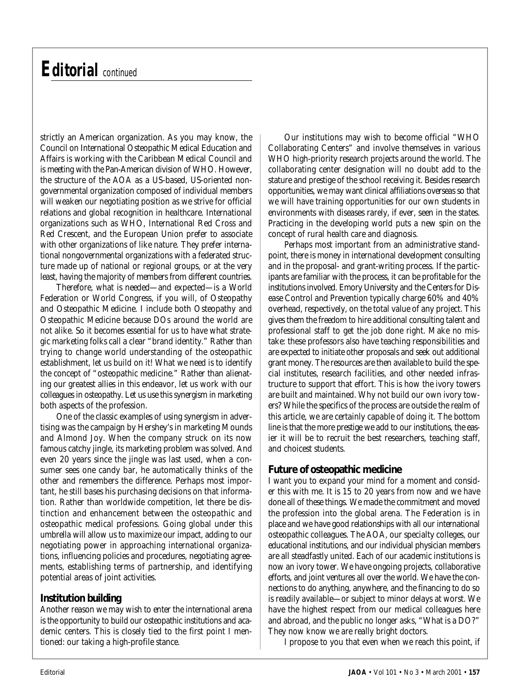# *Editorial* continued

strictly an American organization. As you may know, the Council on International Osteopathic Medical Education and Affairs is working with the Caribbean Medical Council and is meeting with the Pan-American division of WHO. However, the structure of the AOA as a US-based, US-oriented nongovernmental organization composed of individual members will weaken our negotiating position as we strive for official relations and global recognition in healthcare. International organizations such as WHO, International Red Cross and Red Crescent, and the European Union prefer to associate with other organizations of like nature. They prefer international nongovernmental organizations with a federated structure made up of national or regional groups, or at the very least, having the majority of members from different countries.

Therefore, what is needed—and expected—is a World Federation or World Congress, if you will, of Osteopathy and Osteopathic Medicine. I include both *Osteopathy* and *Osteopathic Medicine* because DOs around the world are not alike. So it becomes essential for us to have what strategic marketing folks call a clear "brand identity." Rather than trying to change world understanding of the osteopathic establishment, let us build on it! What we need is to identify the concept of "osteopathic medicine." Rather than alienating our greatest allies in this endeavor, let us work with our colleagues in osteopathy. Let us use this synergism in marketing both aspects of the profession.

One of the classic examples of using synergism in advertising was the campaign by Hershey's in marketing Mounds and Almond Joy. When the company struck on its now famous catchy jingle, its marketing problem was solved. And even 20 years since the jingle was last used, when a consumer sees one candy bar, he automatically thinks of the other and remembers the difference. Perhaps most important, he still bases his purchasing decisions on that information. Rather than worldwide competition, let there be distinction and enhancement between the osteopathic and osteopathic medical professions. Going global under this umbrella will allow us to maximize our impact, adding to our negotiating power in approaching international organizations, influencing policies and procedures, negotiating agreements, establishing terms of partnership, and identifying potential areas of joint activities.

#### **Institution building**

Another reason we may wish to enter the international arena is the opportunity to build our osteopathic institutions and academic centers. This is closely tied to the first point I mentioned: our taking a high-profile stance.

Our institutions may wish to become official "WHO Collaborating Centers" and involve themselves in various WHO high-priority research projects around the world. The collaborating center designation will no doubt add to the stature and prestige of the school receiving it. Besides research opportunities, we may want clinical affiliations overseas so that we will have training opportunities for our own students in environments with diseases rarely, if ever, seen in the states. Practicing in the developing world puts a new spin on the concept of rural health care and diagnosis.

Perhaps most important from an administrative standpoint, there is money in international development consulting and in the proposal- and grant-writing process. If the participants are familiar with the process, it can be profitable for the institutions involved. Emory University and the Centers for Disease Control and Prevention typically charge 60% and 40% overhead, respectively, on the total value of any project. This gives them the freedom to hire additional consulting talent and professional staff to get the job done right. Make no mistake: these professors also have teaching responsibilities and are expected to initiate other proposals and seek out additional grant money. The resources are then available to build the special institutes, research facilities, and other needed infrastructure to support that effort. This is how the ivory towers are built and maintained. Why not build our own ivory towers? While the specifics of the process are outside the realm of this article, we are certainly capable of doing it. The bottom line is that the more prestige we add to our institutions, the easier it will be to recruit the best researchers, teaching staff, and choicest students.

### **Future of osteopathic medicine**

I want you to expand your mind for a moment and consider this with me. It is 15 to 20 years from now and we have done all of these things. We made the commitment and moved the profession into the global arena. The Federation is in place and we have good relationships with all our international osteopathic colleagues. The AOA, our specialty colleges, our educational institutions, and our individual physician members are all steadfastly united. Each of our academic institutions is now an ivory tower. We have ongoing projects, collaborative efforts, and joint ventures all over the world. We have the connections to do anything, anywhere, and the financing to do so is readily available—or subject to minor delays at worst. We have the highest respect from our medical colleagues here and abroad, and the public no longer asks, "What is a DO?" They now know we are really bright doctors.

I propose to you that even when we reach this point, if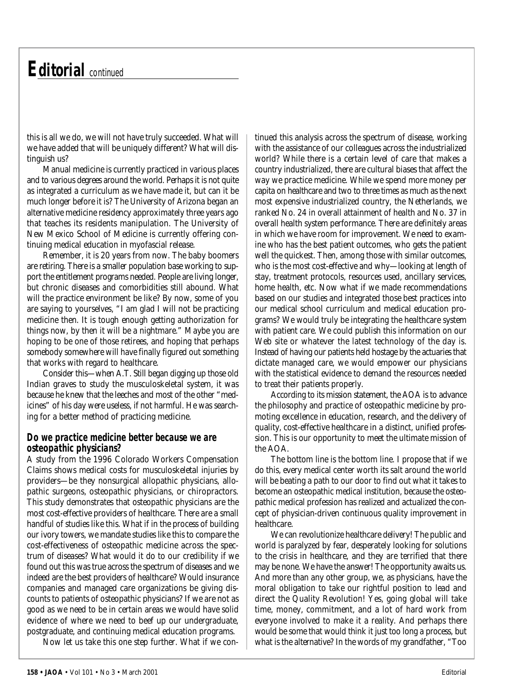## *Editorial* continued

this is *all* we do, we will not have truly succeeded. What will we have added that will be uniquely different? What will distinguish us?

Manual medicine is currently practiced in various places and to various degrees around the world. Perhaps it is not quite as integrated a curriculum as we have made it, but can it be much longer before it is? The University of Arizona began an alternative medicine residency approximately three years ago that teaches its residents manipulation. The University of New Mexico School of Medicine is currently offering continuing medical education in myofascial release.

Remember, it is 20 years from now. The baby boomers are retiring. There is a smaller population base working to support the entitlement programs needed. People are living longer, but chronic diseases and comorbidities still abound. What will the practice environment be like? By now, some of you are saying to yourselves, "I am glad I will not be practicing medicine then. It is tough enough getting authorization for things now, by then it will be a nightmare." Maybe you are hoping to be one of those retirees, and hoping that perhaps somebody somewhere will have finally figured out something that works with regard to healthcare.

Consider this—when A.T. Still began digging up those old Indian graves to study the musculoskeletal system, it was because he knew that the leeches and most of the other "medicines" of his day were useless, if not harmful. He was searching for *a better method of practicing medicine*.

#### *Do we practice medicine better because we are osteopathic physicians?*

A study from the 1996 Colorado Workers Compensation Claims shows medical costs for musculoskeletal injuries by providers—be they nonsurgical allopathic physicians, allopathic surgeons, osteopathic physicians, or chiropractors. This study demonstrates that osteopathic physicians are the most cost-effective providers of healthcare. There are a small handful of studies like this. What if in the process of building our ivory towers, we mandate studies like this to compare the cost-effectiveness of osteopathic medicine across the spectrum of diseases? What would it do to our credibility if we found out this was true across the spectrum of diseases and we indeed are the best providers of healthcare? Would insurance companies and managed care organizations be giving discounts to patients of osteopathic physicians? If we are not as good as we need to be in certain areas we would have solid evidence of where we need to beef up our undergraduate, postgraduate, and continuing medical education programs.

Now let us take this one step further. What if we con-

tinued this analysis across the spectrum of disease, working with the assistance of our colleagues across the industrialized world? While there is a certain level of care that makes a country industrialized, there are cultural biases that affect the way we practice medicine. While we spend more money per capita on healthcare and two to three times as much as the next most expensive industrialized country, the Netherlands, we ranked No. 24 in overall attainment of health and No. 37 in overall health system performance. There are definitely areas in which we have room for improvement. We need to examine who has the best patient outcomes, who gets the patient well the quickest. Then, among those with similar outcomes, who is the most cost-effective and why—looking at length of stay, treatment protocols, resources used, ancillary services, home health, etc. Now what if we made recommendations based on our studies and integrated those best practices into our medical school curriculum and medical education programs? We would truly be integrating the healthcare system with patient care. We could publish this information on our Web site or whatever the latest technology of the day is. Instead of having our patients held hostage by the actuaries that dictate managed care, we would empower our physicians with the statistical evidence to demand the resources needed to treat their patients properly.

According to its mission statement, the AOA is to advance the philosophy and practice of osteopathic medicine by promoting excellence in education, research, and the delivery of quality, cost-effective healthcare in a distinct, unified profession. This is our opportunity to meet the ultimate mission of the AOA.

The bottom line *is* the bottom line. I propose that if we do this, every medical center worth its salt around the world will be beating a path to our door to find out what it takes to become an osteopathic medical institution, because the osteopathic medical profession has realized and actualized the concept of physician-driven continuous quality improvement in healthcare.

We *can* revolutionize healthcare delivery! The public and world is paralyzed by fear, desperately looking for solutions to the crisis in healthcare, and they are terrified that there may be none. We have the answer! The opportunity awaits us. And more than any other group, we, as physicians, have the moral obligation to take our rightful position to lead and direct the Quality Revolution! Yes, going global will take time, money, commitment, and a lot of hard work from everyone involved to make it a reality. And perhaps there would be some that would think it just too long a process, but what is the alternative? In the words of my grandfather, "Too